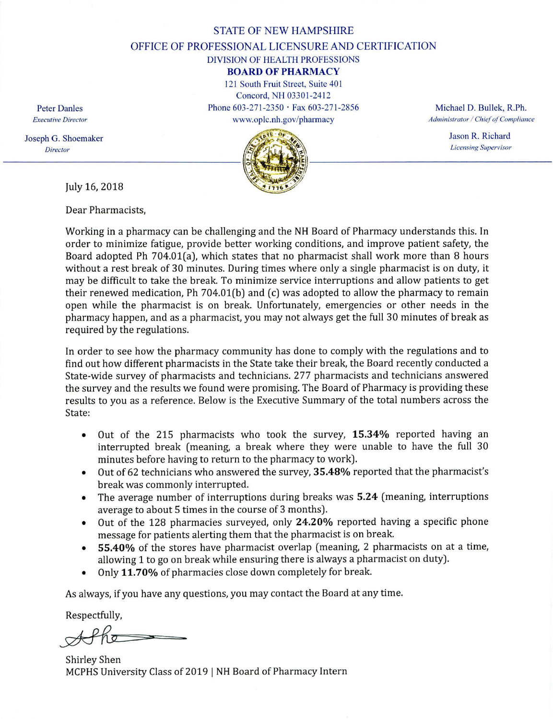#### STATE OF NEW HAMPSHIRE

OFFICE OF PROFESSIONAL LICENSURE AND CERTIFICATION

### DIVISION OF HEALTH PROFESSIONS

## **BOARD OF PHARMACY**

121 South Fruit Street, Suite 401 Concord, NH 03301-2412 Peter Danles Phone 603-271-2350 • Fax 603-271-2856 Michael D. Bullek, R.Ph.



*Executive Director* www.oplc.nh.gov/phannacy *Administrator / Chief of Compliance* 

Jason R. Richard *Licensing Supervisor* 

Joseph G. Shoemaker *Director* 

July 16, 2018

Dear Pharmacists,

Working in a pharmacy can be challenging and the NH Board of Pharmacy understands this. In order to minimize fatigue, provide better working conditions, and improve patient safety, the Board adopted Ph 704.01(a), which states that no pharmacist shall work more than 8 hours without a rest break of 30 minutes. During times where only a single pharmacist is on duty, it may be difficult to take the break. To minimize service interruptions and allow patients to get their renewed medication, Ph 704.01(b) and (c) was adopted to allow the pharmacy to remain open while the pharmacist is on break. Unfortunately, emergencies or other needs in the pharmacy happen, and as a pharmacist, you may not always get the full 30 minutes of break as required by the regulations.

In order to see how the pharmacy community has done to comply with the regulations and to find out how different pharmacists in the State take their break, the Board recently conducted a State-wide survey of pharmacists and technicians. 277 pharmacists and technicians answered the survey and the results we found were promising. The Board of Pharmacy is providing these results to you as a reference. Below is the Executive Summary of the total numbers across the State:

- Out of the 215 pharmacists who took the survey, **15.34%** reported having an  $\bullet$ interrupted break (meaning, a break where they were unable to have the full 30 minutes before having to return to the pharmacy to work).
- Out of 62 technicians who answered the survey, **35.48%** reported that the pharmacist's  $\bullet$ break was commonly interrupted.
- The average number of interruptions during breaks was **5.24** (meaning, interruptions  $\bullet$ average to about 5 times in the course of 3 months).
- Out of the 128 pharmacies surveyed, only **24.20%** reported having a specific phone message for patients alerting them that the pharmacist is on break.
- **55.40%** of the stores have pharmacist overlap (meaning, 2 pharmacists on at a time,  $\bullet$ allowing 1 to go on break while ensuring there is always a pharmacist on duty).
- Only **11.70%** of pharmacies close down completely for break.

As always, if you have any questions, you may contact the Board at any time.

Respectfully,

Shirley Shen MCPHS University Class of 2019 I NH Board of Pharmacy Intern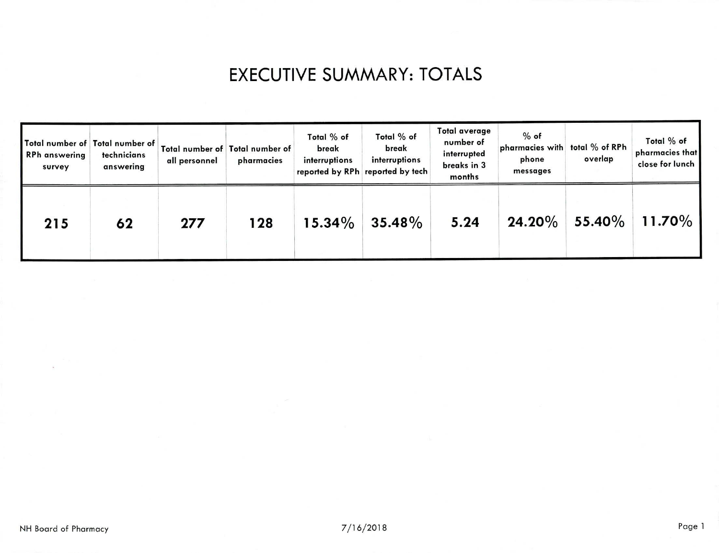# **EXECUTIVE SUMMARY: TOTALS**

| Total number of Total number of<br><b>RPh</b> answering<br>survey | technicians<br>answering | all personnel | Total number of Total number of<br>pharmacies | Total % of<br>break<br>interruptions | Total % of<br>break<br>interruptions<br>reported by RPh reported by tech | Total average<br>number of<br>interrupted<br>breaks in 3<br>months | $%$ of<br>pharmacies with<br>phone<br>messages | total % of RPh<br>overlap | Total % of<br>pharmacies that<br>close for lunch |
|-------------------------------------------------------------------|--------------------------|---------------|-----------------------------------------------|--------------------------------------|--------------------------------------------------------------------------|--------------------------------------------------------------------|------------------------------------------------|---------------------------|--------------------------------------------------|
| 215                                                               | 62                       | 277           | 128                                           | $15.34\%$                            | $35.48\%$                                                                | 5.24                                                               | $24.20\%$                                      | <b>55.40%</b>             | $11.70\%$                                        |